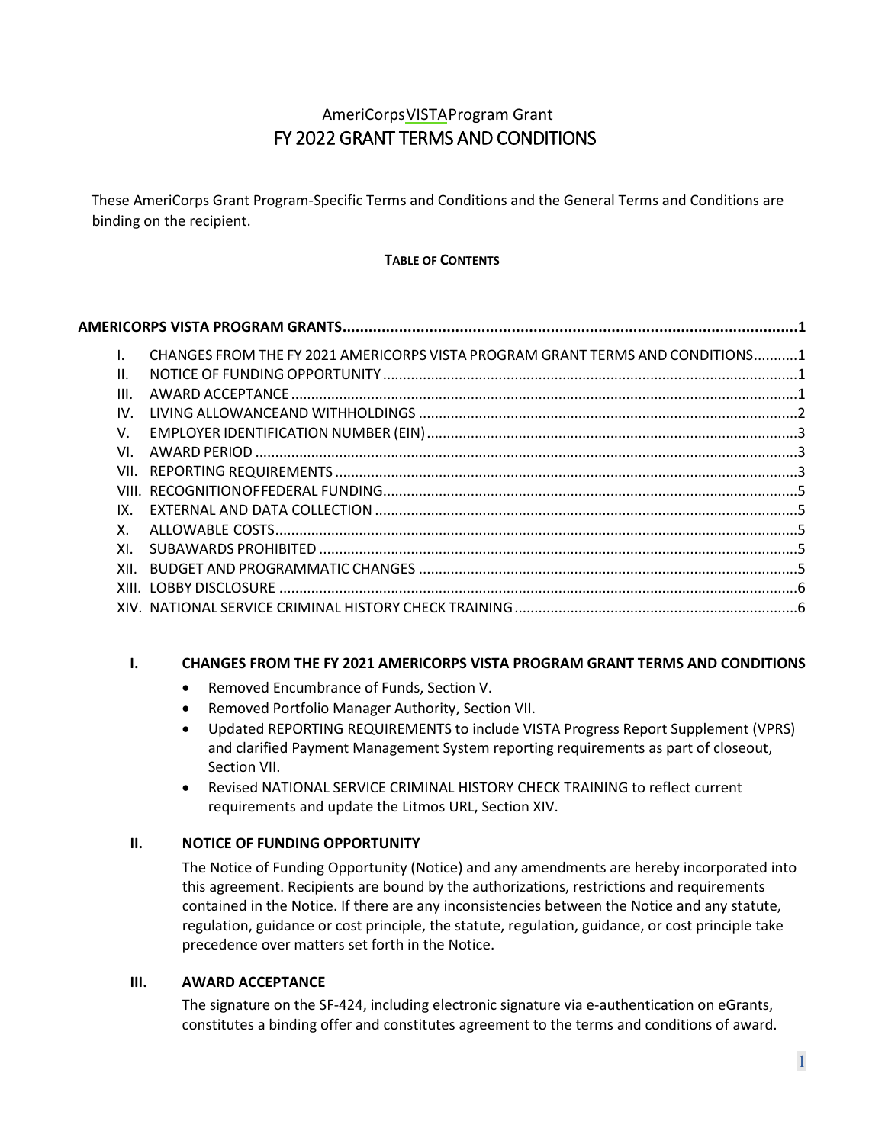# AmeriCorpsVISTAProgram Grant FY 2022 GRANT TERMS AND CONDITIONS

<span id="page-0-0"></span>These AmeriCorps Grant Program-Specific Terms and Conditions and the General Terms and Conditions are binding on the recipient.

# **TABLE OF CONTENTS**

|  |      | CHANGES FROM THE FY 2021 AMERICORPS VISTA PROGRAM GRANT TERMS AND CONDITIONS1 |  |  |
|--|------|-------------------------------------------------------------------------------|--|--|
|  | Π.   |                                                                               |  |  |
|  | III. |                                                                               |  |  |
|  | IV.  |                                                                               |  |  |
|  | V.   |                                                                               |  |  |
|  | VI.  |                                                                               |  |  |
|  |      |                                                                               |  |  |
|  |      |                                                                               |  |  |
|  | IX.  |                                                                               |  |  |
|  | Χ.   |                                                                               |  |  |
|  | XI.  |                                                                               |  |  |
|  |      |                                                                               |  |  |
|  |      |                                                                               |  |  |
|  |      |                                                                               |  |  |
|  |      |                                                                               |  |  |

# <span id="page-0-1"></span>**I. CHANGES FROM THE FY 2021 AMERICORPS VISTA PROGRAM GRANT TERMS AND CONDITIONS**

- Removed Encumbrance of Funds, Section V.
- Removed Portfolio Manager Authority, Section VII.
- Updated REPORTING REQUIREMENTS to include VISTA Progress Report Supplement (VPRS) and clarified Payment Management System reporting requirements as part of closeout, Section VII.
- Revised NATIONAL SERVICE CRIMINAL HISTORY CHECK TRAINING to reflect current requirements and update the Litmos URL, Section XIV.

# <span id="page-0-2"></span>**II. NOTICE OF FUNDING OPPORTUNITY**

The Notice of Funding Opportunity (Notice) and any amendments are hereby incorporated into this agreement. Recipients are bound by the authorizations, restrictions and requirements contained in the Notice. If there are any inconsistencies between the Notice and any statute, regulation, guidance or cost principle, the statute, regulation, guidance, or cost principle take precedence over matters set forth in the Notice.

# <span id="page-0-3"></span>**III. AWARD ACCEPTANCE**

The signature on the SF-424, including electronic signature via e-authentication on eGrants, constitutes a binding offer and constitutes agreement to the terms and conditions of award.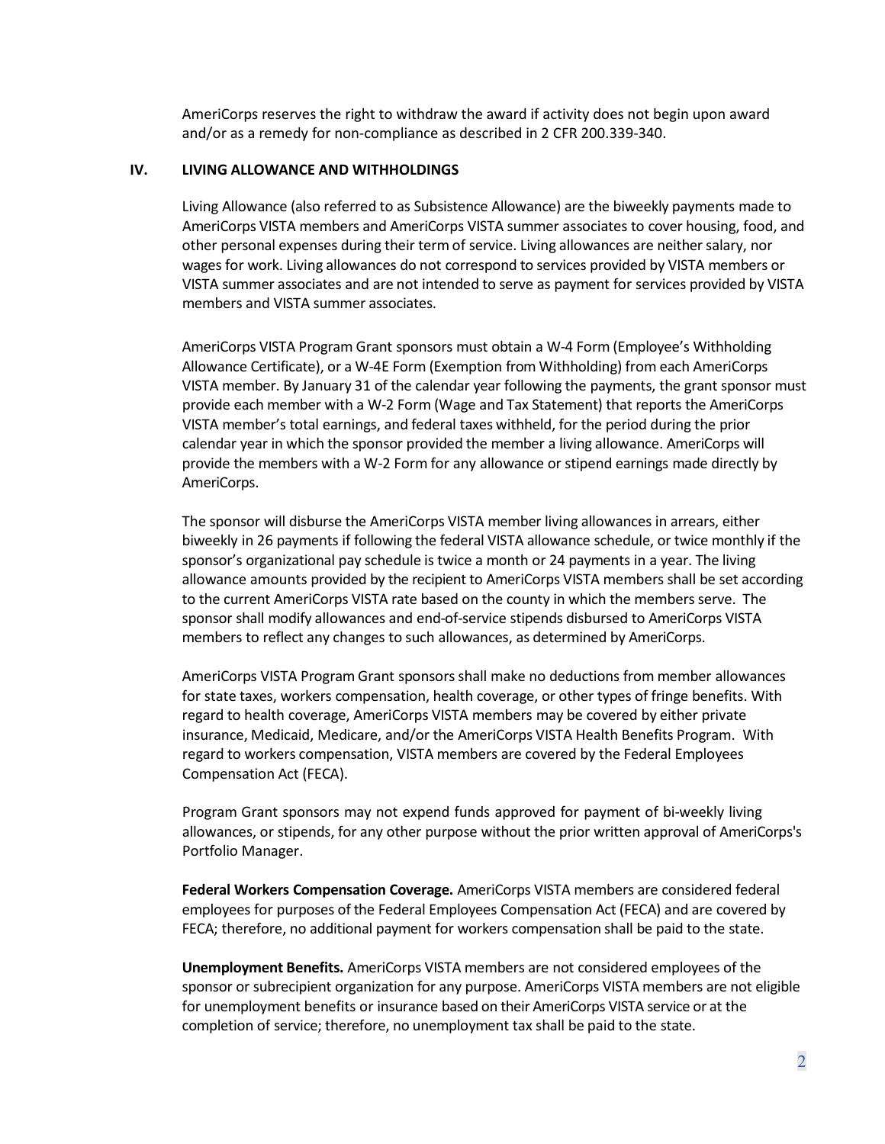AmeriCorps reserves the right to withdraw the award if activity does not begin upon award and/or as a remedy for non-compliance as described in 2 CFR 200.339-340.

### <span id="page-1-0"></span>**IV. LIVING ALLOWANCE AND WITHHOLDINGS**

Living Allowance (also referred to as Subsistence Allowance) are the biweekly payments made to AmeriCorps VISTA members and AmeriCorps VISTA summer associates to cover housing, food, and other personal expenses during their term of service. Living allowances are neither salary, nor wages for work. Living allowances do not correspond to services provided by VISTA members or VISTA summer associates and are not intended to serve as payment for services provided by VISTA members and VISTA summer associates.

AmeriCorps VISTA Program Grant sponsors must obtain a W-4 Form (Employee's Withholding Allowance Certificate), or a W-4E Form (Exemption from Withholding) from each AmeriCorps VISTA member. By January 31 of the calendar year following the payments, the grant sponsor must provide each member with a W-2 Form (Wage and Tax Statement) that reports the AmeriCorps VISTA member's total earnings, and federal taxes withheld, for the period during the prior calendar year in which the sponsor provided the member a living allowance. AmeriCorps will provide the members with a W-2 Form for any allowance or stipend earnings made directly by AmeriCorps.

The sponsor will disburse the AmeriCorps VISTA member living allowances in arrears, either biweekly in 26 payments if following the federal VISTA allowance schedule, or twice monthly if the sponsor's organizational pay schedule is twice a month or 24 payments in a year. The living allowance amounts provided by the recipient to AmeriCorps VISTA members shall be set according to the current AmeriCorps VISTA rate based on the county in which the members serve. The sponsor shall modify allowances and end-of-service stipends disbursed to AmeriCorps VISTA members to reflect any changes to such allowances, as determined by AmeriCorps.

AmeriCorps VISTA Program Grant sponsorsshall make no deductions from member allowances for state taxes, workers compensation, health coverage, or other types of fringe benefits. With regard to health coverage, AmeriCorps VISTA members may be covered by either private insurance, Medicaid, Medicare, and/or the AmeriCorps VISTA Health Benefits Program. With regard to workers compensation, VISTA members are covered by the Federal Employees Compensation Act (FECA).

Program Grant sponsors may not expend funds approved for payment of bi-weekly living allowances, or stipends, for any other purpose without the prior written approval of AmeriCorps's Portfolio Manager.

**Federal Workers Compensation Coverage.** AmeriCorps VISTA members are considered federal employees for purposes of the Federal Employees Compensation Act (FECA) and are covered by FECA; therefore, no additional payment for workers compensation shall be paid to the state.

**Unemployment Benefits.** AmeriCorps VISTA members are not considered employees of the sponsor or subrecipient organization for any purpose. AmeriCorps VISTA members are not eligible for unemployment benefits or insurance based on their AmeriCorps VISTA service or at the completion of service; therefore, no unemployment tax shall be paid to the state.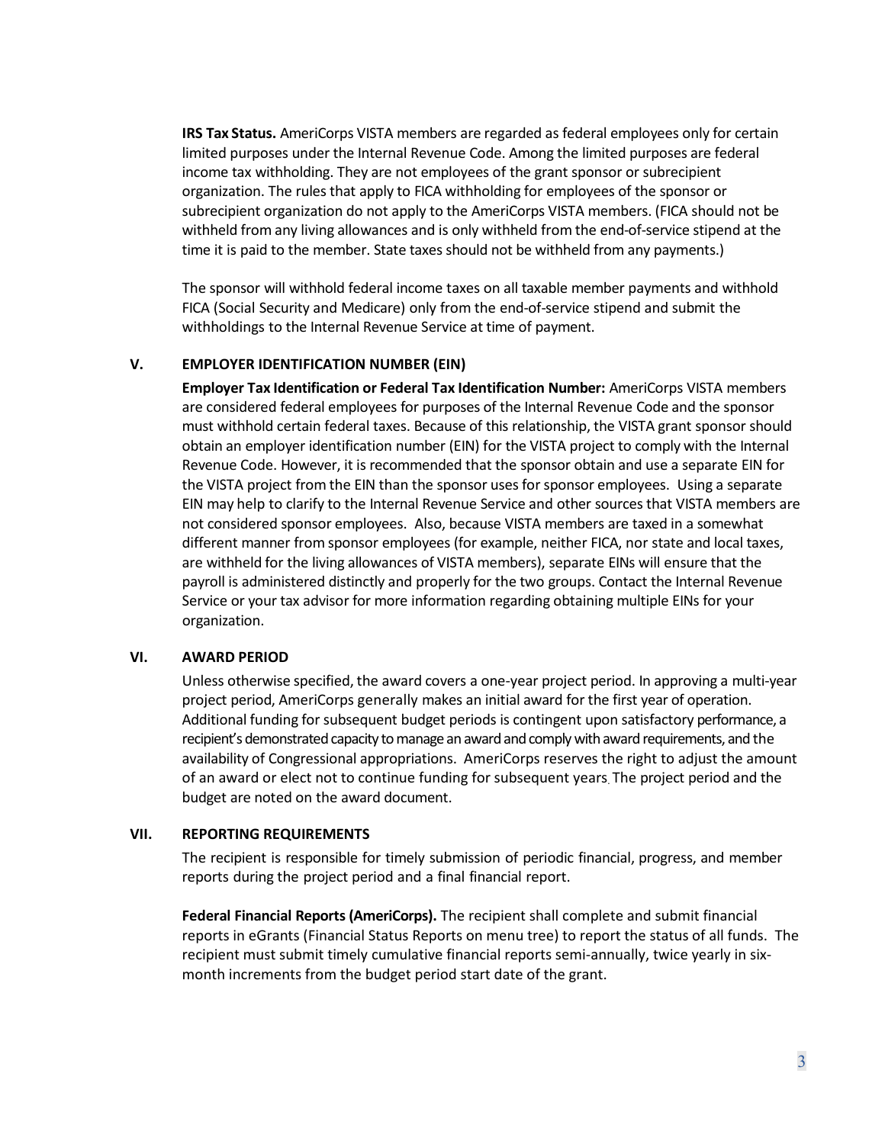**IRS Tax Status.** AmeriCorps VISTA members are regarded as federal employees only for certain limited purposes under the Internal Revenue Code. Among the limited purposes are federal income tax withholding. They are not employees of the grant sponsor or subrecipient organization. The rules that apply to FICA withholding for employees of the sponsor or subrecipient organization do not apply to the AmeriCorps VISTA members. (FICA should not be withheld from any living allowances and is only withheld from the end-of-service stipend at the time it is paid to the member. State taxes should not be withheld from any payments.)

The sponsor will withhold federal income taxes on all taxable member payments and withhold FICA (Social Security and Medicare) only from the end-of-service stipend and submit the withholdings to the Internal Revenue Service at time of payment.

### <span id="page-2-0"></span>**V. EMPLOYER IDENTIFICATION NUMBER (EIN)**

**Employer Tax Identification or Federal Tax Identification Number:** AmeriCorps VISTA members are considered federal employees for purposes of the Internal Revenue Code and the sponsor must withhold certain federal taxes. Because of this relationship, the VISTA grant sponsor should obtain an employer identification number (EIN) for the VISTA project to comply with the Internal Revenue Code. However, it is recommended that the sponsor obtain and use a separate EIN for the VISTA project from the EIN than the sponsor uses for sponsor employees. Using a separate EIN may help to clarify to the Internal Revenue Service and other sources that VISTA members are not considered sponsor employees. Also, because VISTA members are taxed in a somewhat different manner from sponsor employees (for example, neither FICA, nor state and local taxes, are withheld for the living allowances of VISTA members), separate EINs will ensure that the payroll is administered distinctly and properly for the two groups. Contact the Internal Revenue Service or your tax advisor for more information regarding obtaining multiple EINs for your organization.

### <span id="page-2-1"></span>**VI. AWARD PERIOD**

Unless otherwise specified, the award covers a one-year project period. In approving a multi-year project period, AmeriCorps generally makes an initial award for the first year of operation. Additional funding for subsequent budget periods is contingent upon satisfactory performance, a recipient's demonstrated capacity to manage an award and comply with award requirements, and the availability of Congressional appropriations. AmeriCorps reserves the right to adjust the amount of an award or elect not to continue funding for subsequent years. The project period and the budget are noted on the award document.

### <span id="page-2-2"></span>**VII. REPORTING REQUIREMENTS**

The recipient is responsible for timely submission of periodic financial, progress, and member reports during the project period and a final financial report.

**Federal Financial Reports(AmeriCorps).** The recipient shall complete and submit financial reports in eGrants (Financial Status Reports on menu tree) to report the status of all funds. The recipient must submit timely cumulative financial reports semi-annually, twice yearly in sixmonth increments from the budget period start date of the grant.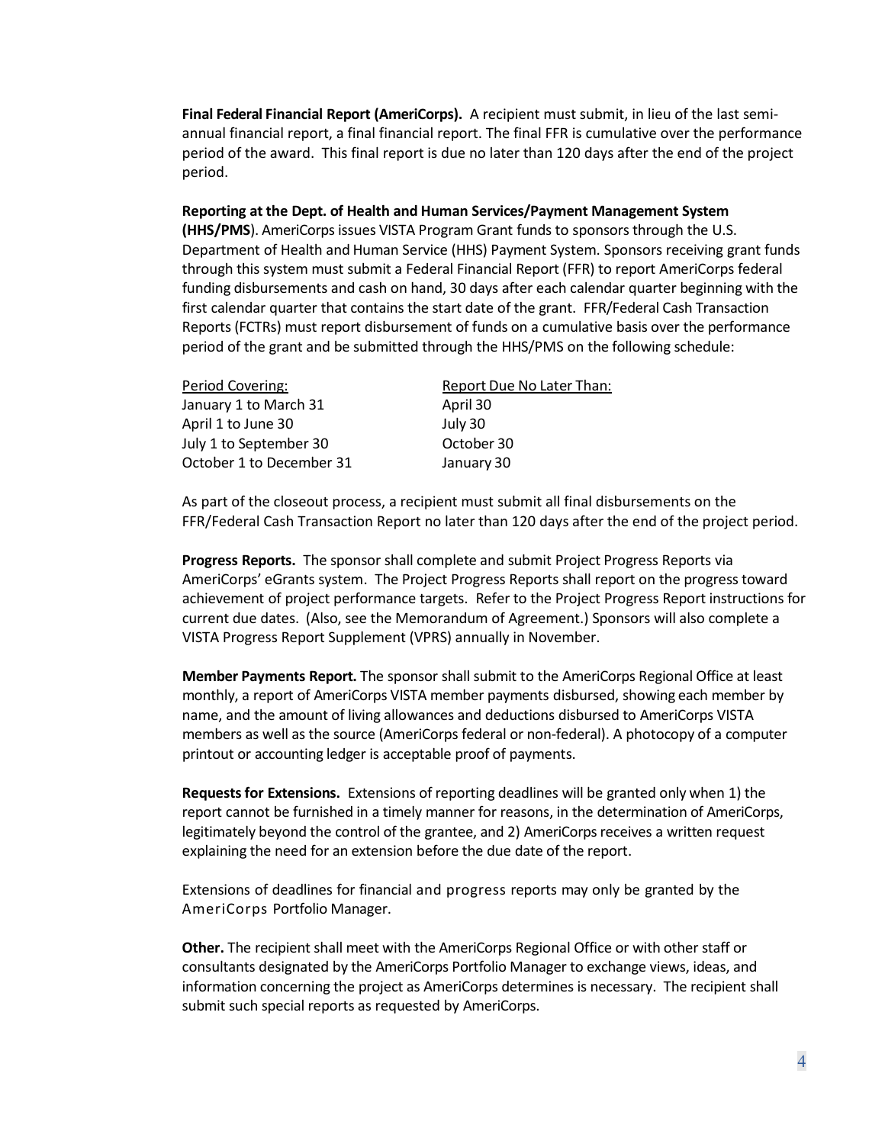**Final Federal Financial Report (AmeriCorps).** A recipient must submit, in lieu of the last semiannual financial report, a final financial report. The final FFR is cumulative over the performance period of the award. This final report is due no later than 120 days after the end of the project period.

#### **Reporting at the Dept. of Health and Human Services/Payment Management System**

**(HHS/PMS**). AmeriCorps issues VISTA Program Grant funds to sponsors through the U.S. Department of Health and Human Service (HHS) Payment System. Sponsors receiving grant funds through this system must submit a Federal Financial Report (FFR) to report AmeriCorps federal funding disbursements and cash on hand, 30 days after each calendar quarter beginning with the first calendar quarter that contains the start date of the grant. FFR/Federal Cash Transaction Reports (FCTRs) must report disbursement of funds on a cumulative basis over the performance period of the grant and be submitted through the HHS/PMS on the following schedule:

| Period Covering:         | Report Due No Later Than: |
|--------------------------|---------------------------|
| January 1 to March 31    | April 30                  |
| April 1 to June 30       | July 30                   |
| July 1 to September 30   | October 30                |
| October 1 to December 31 | January 30                |

As part of the closeout process, a recipient must submit all final disbursements on the FFR/Federal Cash Transaction Report no later than 120 days after the end of the project period.

**Progress Reports.** The sponsor shall complete and submit Project Progress Reports via AmeriCorps' eGrants system. The Project Progress Reports shall report on the progress toward achievement of project performance targets. Refer to the Project Progress Report instructions for current due dates. (Also, see the Memorandum of Agreement.) Sponsors will also complete a VISTA Progress Report Supplement (VPRS) annually in November.

**Member Payments Report.** The sponsor shall submit to the AmeriCorps Regional Office at least monthly, a report of AmeriCorps VISTA member payments disbursed, showing each member by name, and the amount of living allowances and deductions disbursed to AmeriCorps VISTA members as well as the source (AmeriCorps federal or non-federal). A photocopy of a computer printout or accounting ledger is acceptable proof of payments.

**Requestsfor Extensions.** Extensions of reporting deadlines will be granted only when 1) the report cannot be furnished in a timely manner for reasons, in the determination of AmeriCorps, legitimately beyond the control of the grantee, and 2) AmeriCorps receives a written request explaining the need for an extension before the due date of the report.

Extensions of deadlines for financial and progress reports may only be granted by the AmeriCorps Portfolio Manager.

**Other.** The recipient shall meet with the AmeriCorps Regional Office or with other staff or consultants designated by the AmeriCorps Portfolio Manager to exchange views, ideas, and information concerning the project as AmeriCorps determines is necessary. The recipient shall submit such special reports as requested by AmeriCorps.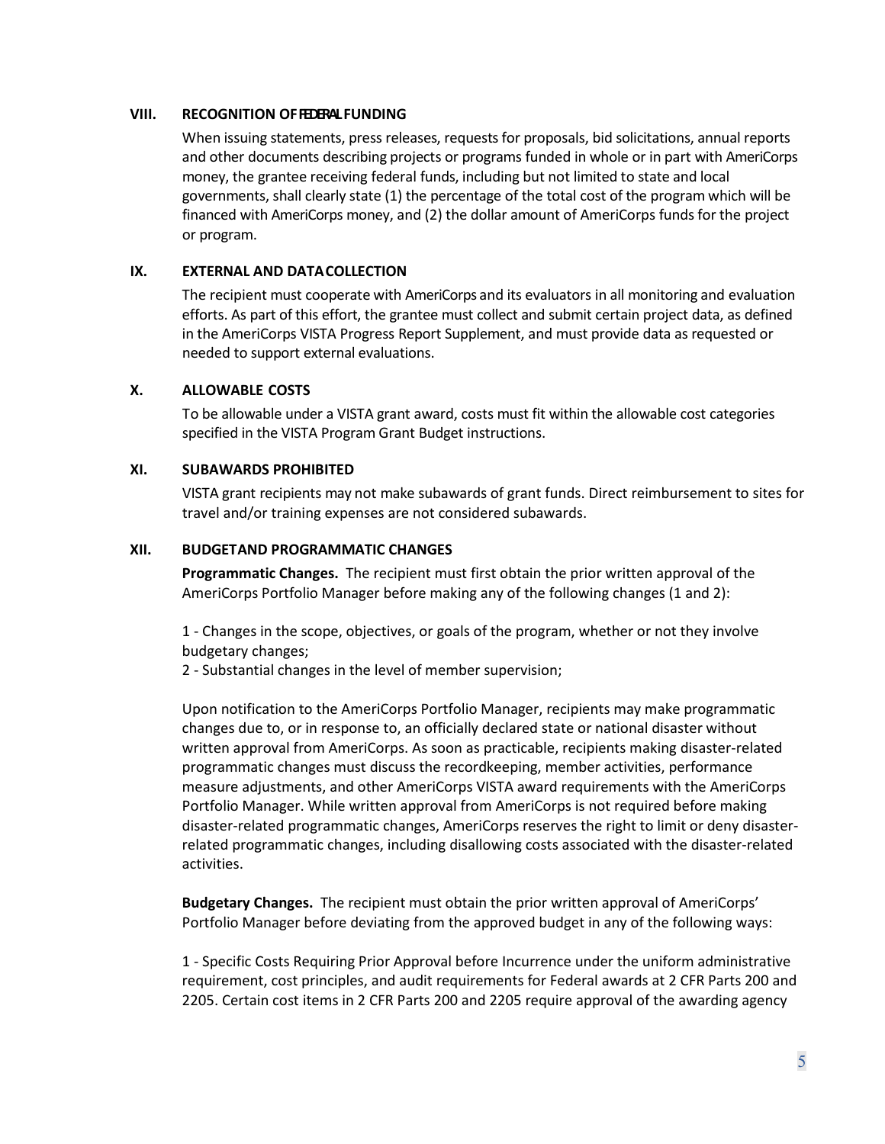### <span id="page-4-0"></span>**VIII. RECOGNITION OFFEDERALFUNDING**

When issuing statements, press releases, requests for proposals, bid solicitations, annual reports and other documents describing projects or programs funded in whole or in part with AmeriCorps money, the grantee receiving federal funds, including but not limited to state and local governments, shall clearly state (1) the percentage of the total cost of the program which will be financed with AmeriCorps money, and (2) the dollar amount of AmeriCorps funds for the project or program.

# <span id="page-4-1"></span>**IX. EXTERNAL AND DATACOLLECTION**

The recipient must cooperate with AmeriCorps and its evaluators in all monitoring and evaluation efforts. As part of this effort, the grantee must collect and submit certain project data, as defined in the AmeriCorps VISTA Progress Report Supplement, and must provide data as requested or needed to support external evaluations.

# <span id="page-4-2"></span>**X. ALLOWABLE COSTS**

To be allowable under a VISTA grant award, costs must fit within the allowable cost categories specified in the VISTA Program Grant Budget instructions.

# <span id="page-4-3"></span>**XI. SUBAWARDS PROHIBITED**

VISTA grant recipients may not make subawards of grant funds. Direct reimbursement to sites for travel and/or training expenses are not considered subawards.

# <span id="page-4-4"></span>**XII. BUDGETAND PROGRAMMATIC CHANGES**

**Programmatic Changes.** The recipient must first obtain the prior written approval of the AmeriCorps Portfolio Manager before making any of the following changes (1 and 2):

1 - Changes in the scope, objectives, or goals of the program, whether or not they involve budgetary changes;

2 - Substantial changes in the level of member supervision;

Upon notification to the AmeriCorps Portfolio Manager, recipients may make programmatic changes due to, or in response to, an officially declared state or national disaster without written approval from AmeriCorps. As soon as practicable, recipients making disaster-related programmatic changes must discuss the recordkeeping, member activities, performance measure adjustments, and other AmeriCorps VISTA award requirements with the AmeriCorps Portfolio Manager. While written approval from AmeriCorps is not required before making disaster-related programmatic changes, AmeriCorps reserves the right to limit or deny disasterrelated programmatic changes, including disallowing costs associated with the disaster-related activities.

**Budgetary Changes.** The recipient must obtain the prior written approval of AmeriCorps' Portfolio Manager before deviating from the approved budget in any of the following ways:

1 - Specific Costs Requiring Prior Approval before Incurrence under the uniform administrative requirement, cost principles, and audit requirements for Federal awards at 2 CFR Parts 200 and 2205. Certain cost items in 2 CFR Parts 200 and 2205 require approval of the awarding agency